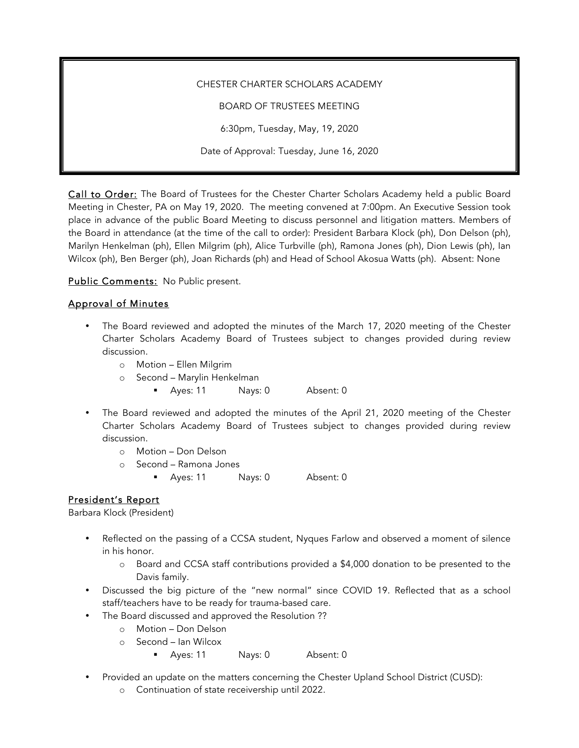#### CHESTER CHARTER SCHOLARS ACADEMY

BOARD OF TRUSTEES MEETING

6:30pm, Tuesday, May, 19, 2020

Date of Approval: Tuesday, June 16, 2020

Call to Order: The Board of Trustees for the Chester Charter Scholars Academy held a public Board Meeting in Chester, PA on May 19, 2020. The meeting convened at 7:00pm. An Executive Session took place in advance of the public Board Meeting to discuss personnel and litigation matters. Members of the Board in attendance (at the time of the call to order): President Barbara Klock (ph), Don Delson (ph), Marilyn Henkelman (ph), Ellen Milgrim (ph), Alice Turbville (ph), Ramona Jones (ph), Dion Lewis (ph), Ian Wilcox (ph), Ben Berger (ph), Joan Richards (ph) and Head of School Akosua Watts (ph). Absent: None

Public Comments: No Public present.

### Approval of Minutes

- The Board reviewed and adopted the minutes of the March 17, 2020 meeting of the Chester Charter Scholars Academy Board of Trustees subject to changes provided during review discussion.
	- o Motion Ellen Milgrim
	- o Second Marylin Henkelman
		- § Ayes: 11 Nays: 0 Absent: 0
- The Board reviewed and adopted the minutes of the April 21, 2020 meeting of the Chester Charter Scholars Academy Board of Trustees subject to changes provided during review discussion.
	- o Motion Don Delson
	- o Second Ramona Jones
		- Ayes: 11 Nays: 0 Absent: 0

### President's Report

Barbara Klock (President)

- Reflected on the passing of a CCSA student, Nyques Farlow and observed a moment of silence in his honor.
	- o Board and CCSA staff contributions provided a \$4,000 donation to be presented to the Davis family.
- Discussed the big picture of the "new normal" since COVID 19. Reflected that as a school staff/teachers have to be ready for trauma-based care.
- The Board discussed and approved the Resolution ??
	- o Motion Don Delson
	- o Second Ian Wilcox
		- § Ayes: 11 Nays: 0 Absent: 0
- Provided an update on the matters concerning the Chester Upland School District (CUSD):
	- o Continuation of state receivership until 2022.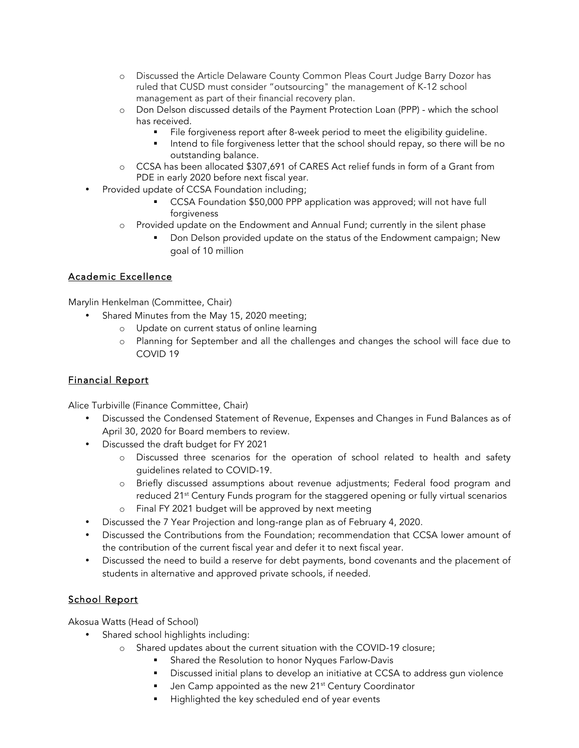- o Discussed the Article Delaware County Common Pleas Court Judge Barry Dozor has ruled that CUSD must consider "outsourcing" the management of K-12 school management as part of their financial recovery plan.
- o Don Delson discussed details of the Payment Protection Loan (PPP) which the school has received.
	- File forgiveness report after 8-week period to meet the eligibility guideline.
	- Intend to file forgiveness letter that the school should repay, so there will be no outstanding balance.
- o CCSA has been allocated \$307,691 of CARES Act relief funds in form of a Grant from PDE in early 2020 before next fiscal year.
- Provided update of CCSA Foundation including;
	- CCSA Foundation \$50,000 PPP application was approved; will not have full forgiveness
	- o Provided update on the Endowment and Annual Fund; currently in the silent phase
		- Don Delson provided update on the status of the Endowment campaign; New goal of 10 million

## Academic Excellence

Marylin Henkelman (Committee, Chair)

- Shared Minutes from the May 15, 2020 meeting;
	- o Update on current status of online learning
	- o Planning for September and all the challenges and changes the school will face due to COVID 19

## Financial Report

Alice Turbiville (Finance Committee, Chair)

- Discussed the Condensed Statement of Revenue, Expenses and Changes in Fund Balances as of April 30, 2020 for Board members to review.
- Discussed the draft budget for FY 2021
	- o Discussed three scenarios for the operation of school related to health and safety guidelines related to COVID-19.
	- o Briefly discussed assumptions about revenue adjustments; Federal food program and reduced 21<sup>st</sup> Century Funds program for the staggered opening or fully virtual scenarios
	- o Final FY 2021 budget will be approved by next meeting
- Discussed the 7 Year Projection and long-range plan as of February 4, 2020.
- Discussed the Contributions from the Foundation; recommendation that CCSA lower amount of the contribution of the current fiscal year and defer it to next fiscal year.
- Discussed the need to build a reserve for debt payments, bond covenants and the placement of students in alternative and approved private schools, if needed.

# School Report

Akosua Watts (Head of School)

- Shared school highlights including:
	- o Shared updates about the current situation with the COVID-19 closure;
		- § Shared the Resolution to honor Nyques Farlow-Davis
		- Discussed initial plans to develop an initiative at CCSA to address gun violence
		- Jen Camp appointed as the new 21<sup>st</sup> Century Coordinator
		- Highlighted the key scheduled end of year events